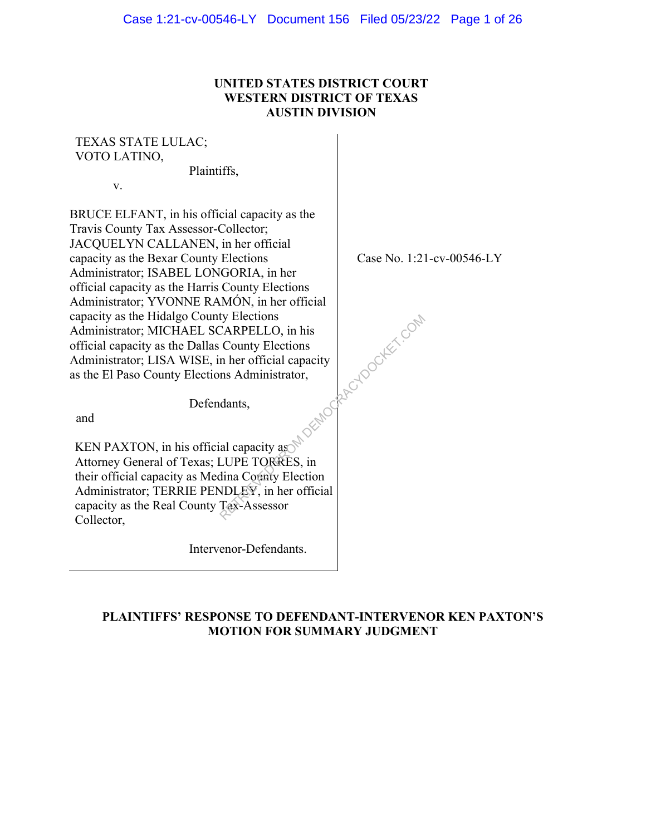## **UNITED STATES DISTRICT COURT WESTERN DISTRICT OF TEXAS AUSTIN DIVISION**

## TEXAS STATE LULAC; VOTO LATINO,

Plaintiffs,

v.

BRUCE ELFANT, in his official capacity as the Travis County Tax Assessor-Collector; JACQUELYN CALLANEN, in her official capacity as the Bexar County Elections Administrator; ISABEL LONGORIA, in her official capacity as the Harris County Elections Administrator; YVONNE RAMÓN, in her official capacity as the Hidalgo County Elections Administrator; MICHAEL SCARPELLO, in his official capacity as the Dallas County Elections Administrator; LISA WISE, in her official capacity as the El Paso County Elections Administrator,

Case No. 1:21-cv-00546-LY

Defendants,

and

KEN PAXTON, in his official capacity as Attorney General of Texas; LUPE TORRES, in their official capacity as Medina County Election Administrator; TERRIE PENDLEY, in her official capacity as the Real County Tax-Assessor Collector, ty Elections<br>
County Elections<br>
n her official capacity<br>
ms Administrator,<br>
dants,<br>
al capacity as<br>
LUPE TORRES, in<br>
tina Covaty Election<br>
NDLEY, in her official<br>
Tax-Assessor

Intervenor-Defendants.

## **PLAINTIFFS' RESPONSE TO DEFENDANT-INTERVENOR KEN PAXTON'S MOTION FOR SUMMARY JUDGMENT**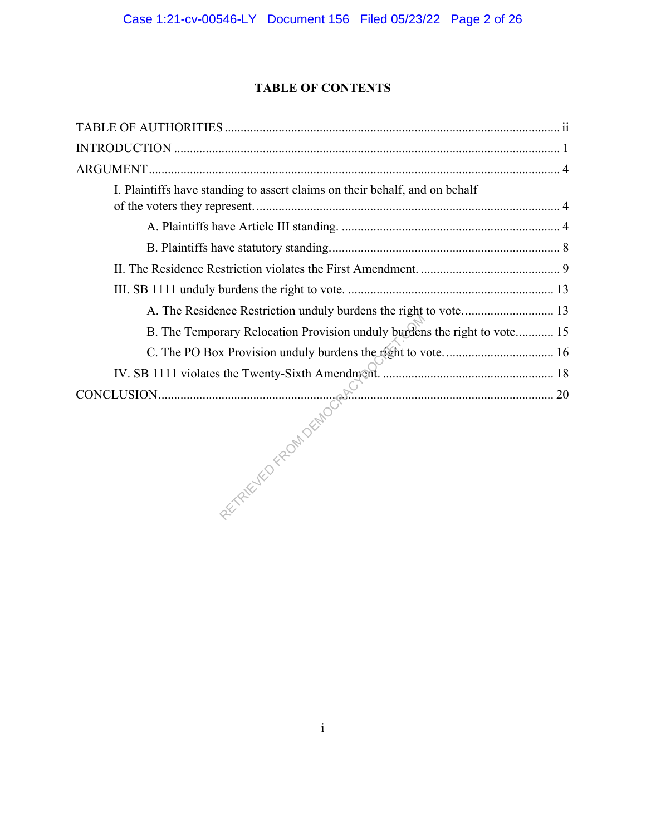## **TABLE OF CONTENTS**

| I. Plaintiffs have standing to assert claims on their behalf, and on behalf |
|-----------------------------------------------------------------------------|
|                                                                             |
|                                                                             |
|                                                                             |
|                                                                             |
| A. The Residence Restriction unduly burdens the right to vote 13            |
| B. The Temporary Relocation Provision unduly burdens the right to vote 15   |
|                                                                             |
|                                                                             |
|                                                                             |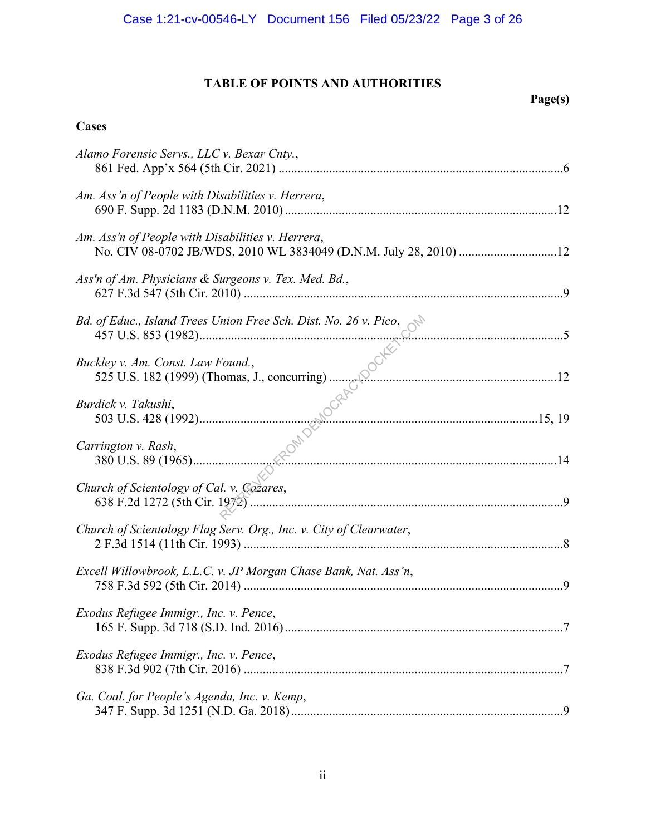# **TABLE OF POINTS AND AUTHORITIES**

# **Page(s)**

# **Cases**

| Alamo Forensic Servs., LLC v. Bexar Cnty.,                            |  |
|-----------------------------------------------------------------------|--|
| Am. Ass'n of People with Disabilities v. Herrera,                     |  |
| Am. Ass'n of People with Disabilities v. Herrera,                     |  |
| Ass'n of Am. Physicians & Surgeons v. Tex. Med. Bd.,                  |  |
| Bd. of Educ., Island Trees Union Free Sch. Dist. No. 26 v. Pico,<br>5 |  |
| Buckley v. Am. Const. Law Found.,                                     |  |
| Burdick v. Takushi,                                                   |  |
| Carrington v. Rash,                                                   |  |
| Church of Scientology of Cal. v. Cozares,                             |  |
| Church of Scientology Flag Serv. Org., Inc. v. City of Clearwater,    |  |
| Excell Willowbrook, L.L.C. v. JP Morgan Chase Bank, Nat. Ass'n,       |  |
| Exodus Refugee Immigr., Inc. v. Pence,                                |  |
| Exodus Refugee Immigr., Inc. v. Pence,                                |  |
| Ga. Coal. for People's Agenda, Inc. v. Kemp,                          |  |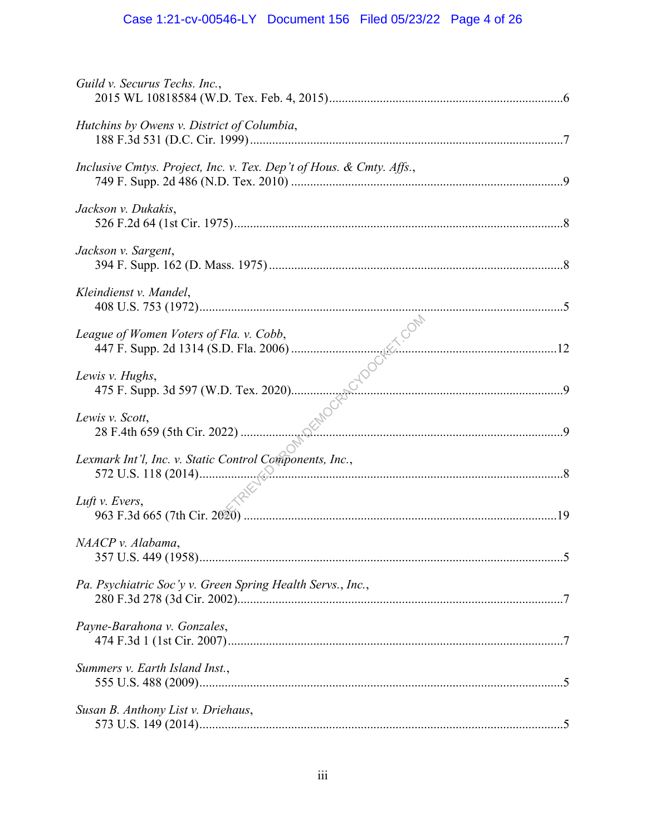# Case 1:21-cv-00546-LY Document 156 Filed 05/23/22 Page 4 of 26

| Guild v. Securus Techs. Inc.,                                        |  |
|----------------------------------------------------------------------|--|
| Hutchins by Owens v. District of Columbia,                           |  |
| Inclusive Cmtys. Project, Inc. v. Tex. Dep't of Hous. & Cmty. Affs., |  |
| Jackson v. Dukakis,                                                  |  |
| Jackson v. Sargent,                                                  |  |
| Kleindienst v. Mandel,                                               |  |
| League of Women Voters of Fla. v. Cobb,                              |  |
| Lewis v. Hughs,                                                      |  |
| Lewis v. Scott,                                                      |  |
| Lexmark Int'l, Inc. v. Static Control Components, Inc.,              |  |
| Luft v. Evers,                                                       |  |
| NAACP v. Alabama,                                                    |  |
| Pa. Psychiatric Soc'v v. Green Spring Health Servs., Inc.,           |  |
| Payne-Barahona v. Gonzales,                                          |  |
| Summers v. Earth Island Inst.,                                       |  |
| Susan B. Anthony List v. Driehaus,                                   |  |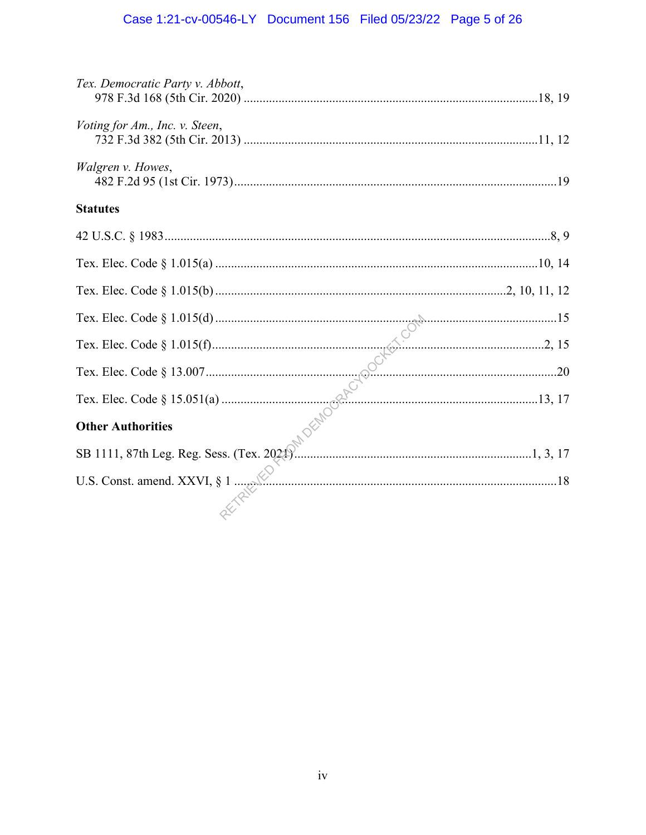# Case 1:21-cv-00546-LY Document 156 Filed 05/23/22 Page 5 of 26

| Tex. Democratic Party v. Abbott, |
|----------------------------------|
| Voting for Am., Inc. v. Steen,   |
| Walgren v. Howes,                |
| <b>Statutes</b>                  |
|                                  |
|                                  |
|                                  |
|                                  |
|                                  |
|                                  |
|                                  |
|                                  |
|                                  |
|                                  |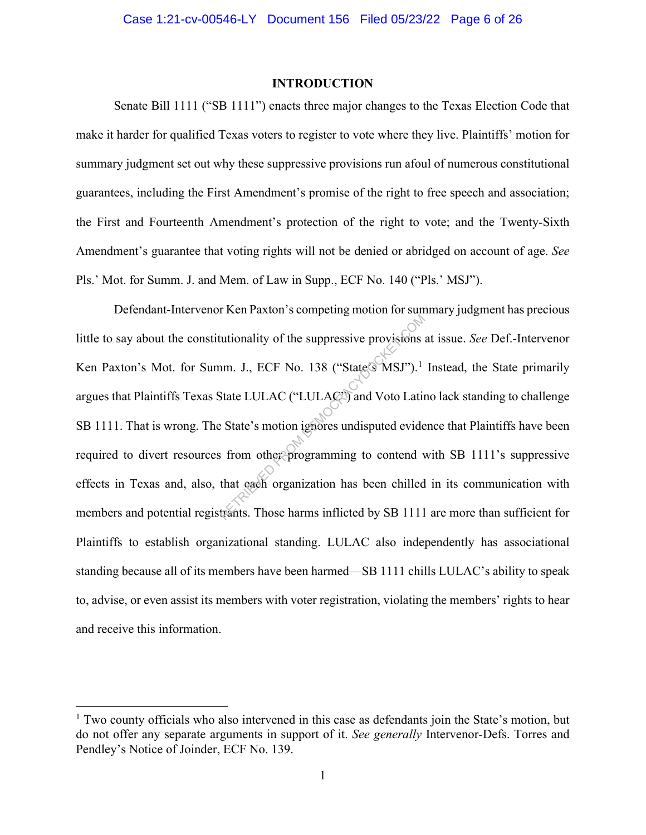#### **INTRODUCTION**

Senate Bill 1111 ("SB 1111") enacts three major changes to the Texas Election Code that make it harder for qualified Texas voters to register to vote where they live. Plaintiffs' motion for summary judgment set out why these suppressive provisions run afoul of numerous constitutional guarantees, including the First Amendment's promise of the right to free speech and association; the First and Fourteenth Amendment's protection of the right to vote; and the Twenty-Sixth Amendment's guarantee that voting rights will not be denied or abridged on account of age. *See*  Pls.' Mot. for Summ. J. and Mem. of Law in Supp., ECF No. 140 ("Pls.' MSJ").

Defendant-Intervenor Ken Paxton's competing motion for summary judgment has precious little to say about the constitutionality of the suppressive provisions at issue. *See* Def.-Intervenor Ken Paxton's Mot. for Summ. J., ECF No. 138 ("State's MSJ").<sup>1</sup> Instead, the State primarily argues that Plaintiffs Texas State LULAC ("LULAC") and Voto Latino lack standing to challenge SB 1111. That is wrong. The State's motion ignores undisputed evidence that Plaintiffs have been required to divert resources from other programming to contend with SB 1111's suppressive effects in Texas and, also, that each organization has been chilled in its communication with members and potential registrants. Those harms inflicted by SB 1111 are more than sufficient for Plaintiffs to establish organizational standing. LULAC also independently has associational standing because all of its members have been harmed—SB 1111 chills LULAC's ability to speak to, advise, or even assist its members with voter registration, violating the members' rights to hear and receive this information. tutionality of the suppressive provisions<br>
nm. J., ECF No. 138 ("State's MSJ").<sup>1</sup><br>
State LULAC ("LULAC") and Voto Latin<br>
Extate's motion ignores undisputed evide<br>
is from other programming to contend v<br>
that each organiza

 $<sup>1</sup>$  Two county officials who also intervened in this case as defendants join the State's motion, but</sup> do not offer any separate arguments in support of it. *See generally* Intervenor-Defs. Torres and Pendley's Notice of Joinder, ECF No. 139.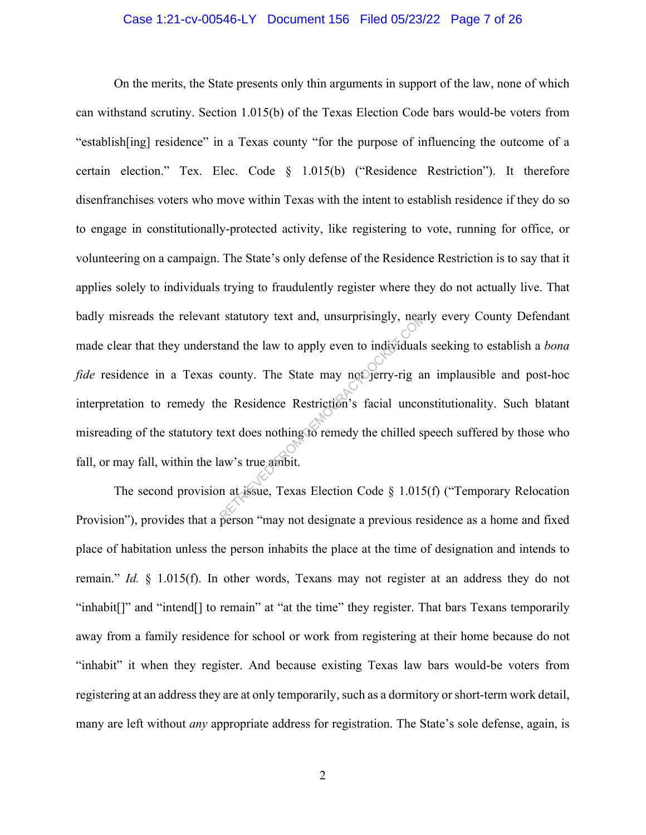#### Case 1:21-cv-00546-LY Document 156 Filed 05/23/22 Page 7 of 26

On the merits, the State presents only thin arguments in support of the law, none of which can withstand scrutiny. Section 1.015(b) of the Texas Election Code bars would-be voters from "establish[ing] residence" in a Texas county "for the purpose of influencing the outcome of a certain election." Tex. Elec. Code § 1.015(b) ("Residence Restriction"). It therefore disenfranchises voters who move within Texas with the intent to establish residence if they do so to engage in constitutionally-protected activity, like registering to vote, running for office, or volunteering on a campaign. The State's only defense of the Residence Restriction is to say that it applies solely to individuals trying to fraudulently register where they do not actually live. That badly misreads the relevant statutory text and, unsurprisingly, nearly every County Defendant made clear that they understand the law to apply even to individuals seeking to establish a *bona fide* residence in a Texas county. The State may not jerry-rig an implausible and post-hoc interpretation to remedy the Residence Restriction's facial unconstitutionality. Such blatant misreading of the statutory text does nothing to remedy the chilled speech suffered by those who fall, or may fall, within the law's true ambit. Example 1 and the law to apply even to individuals<br>county. The State may not perry-rig and<br>ne Residence Restriction's facial uncorrect does nothing to remedy the chilled spaw's true ambit.

The second provision at issue, Texas Election Code § 1.015(f) ("Temporary Relocation Provision"), provides that a person "may not designate a previous residence as a home and fixed place of habitation unless the person inhabits the place at the time of designation and intends to remain." *Id.* § 1.015(f). In other words, Texans may not register at an address they do not "inhabit[]" and "intend[] to remain" at "at the time" they register. That bars Texans temporarily away from a family residence for school or work from registering at their home because do not "inhabit" it when they register. And because existing Texas law bars would-be voters from registering at an address they are at only temporarily, such as a dormitory or short-term work detail, many are left without *any* appropriate address for registration. The State's sole defense, again, is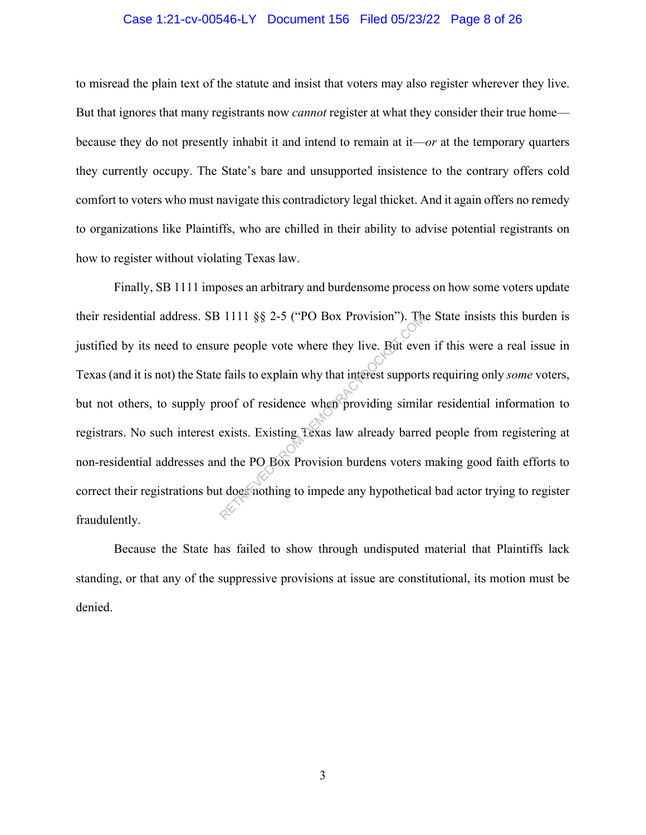#### Case 1:21-cv-00546-LY Document 156 Filed 05/23/22 Page 8 of 26

to misread the plain text of the statute and insist that voters may also register wherever they live. But that ignores that many registrants now *cannot* register at what they consider their true home because they do not presently inhabit it and intend to remain at it—*or* at the temporary quarters they currently occupy. The State's bare and unsupported insistence to the contrary offers cold comfort to voters who must navigate this contradictory legal thicket. And it again offers no remedy to organizations like Plaintiffs, who are chilled in their ability to advise potential registrants on how to register without violating Texas law.

Finally, SB 1111 imposes an arbitrary and burdensome process on how some voters update their residential address. SB 1111 §§ 2-5 ("PO Box Provision"). The State insists this burden is justified by its need to ensure people vote where they live. But even if this were a real issue in Texas (and it is not) the State fails to explain why that interest supports requiring only *some* voters, but not others, to supply proof of residence when providing similar residential information to registrars. No such interest exists. Existing Texas law already barred people from registering at non-residential addresses and the PO Box Provision burdens voters making good faith efforts to correct their registrations but does nothing to impede any hypothetical bad actor trying to register fraudulently.  $R$ <br>
re people vote where they live. But ever<br>
re people vote where they live. But ever<br>
re fails to explain why that interest support<br>
coof of residence when providing similar<br>
exists. Existing Texas law already barre<br>
d

Because the State has failed to show through undisputed material that Plaintiffs lack standing, or that any of the suppressive provisions at issue are constitutional, its motion must be denied.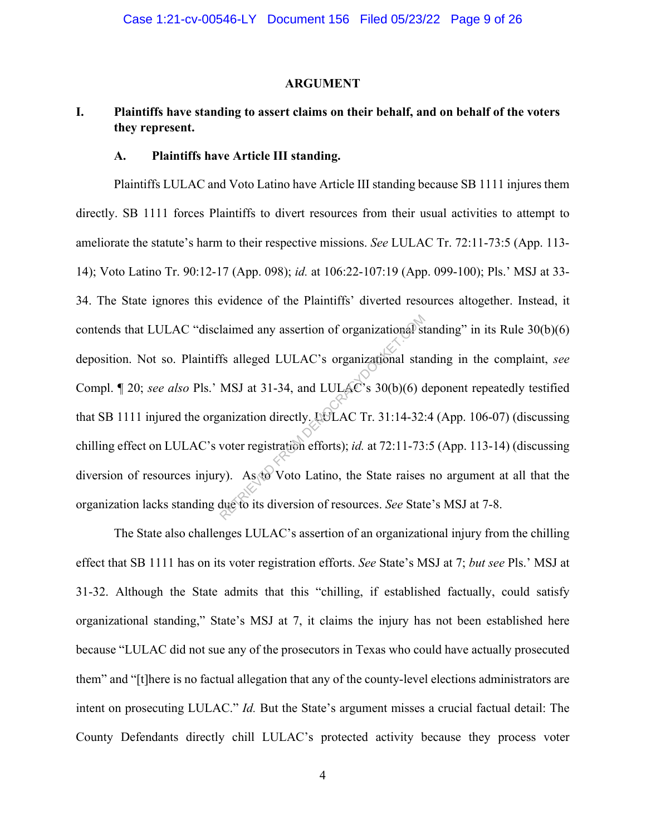#### **ARGUMENT**

## **I. Plaintiffs have standing to assert claims on their behalf, and on behalf of the voters they represent.**

### **A. Plaintiffs have Article III standing.**

Plaintiffs LULAC and Voto Latino have Article III standing because SB 1111 injures them directly. SB 1111 forces Plaintiffs to divert resources from their usual activities to attempt to ameliorate the statute's harm to their respective missions. *See* LULAC Tr. 72:11-73:5 (App. 113- 14); Voto Latino Tr. 90:12-17 (App. 098); *id.* at 106:22-107:19 (App. 099-100); Pls.' MSJ at 33- 34. The State ignores this evidence of the Plaintiffs' diverted resources altogether. Instead, it contends that LULAC "disclaimed any assertion of organizational standing" in its Rule 30(b)(6) deposition. Not so. Plaintiffs alleged LULAC's organizational standing in the complaint, *see*  Compl. ¶ 20; *see also* Pls.' MSJ at 31-34, and LULAC's 30(b)(6) deponent repeatedly testified that SB 1111 injured the organization directly. LULAC Tr. 31:14-32:4 (App. 106-07) (discussing chilling effect on LULAC's voter registration efforts); *id.* at 72:11-73:5 (App. 113-14) (discussing diversion of resources injury). As to Voto Latino, the State raises no argument at all that the organization lacks standing due to its diversion of resources. *See* State's MSJ at 7-8. laimed any assertion of organizational state<br>
Ifs alleged LULAC's organizational state<br>
MSJ at 31-34, and LULAC's 30(b)(6) c<br>
anization directly. LULAC Tr. 31:14-32:<br>
voter registration efforts); *id.* at 72:11-73<br>
y). As

The State also challenges LULAC's assertion of an organizational injury from the chilling effect that SB 1111 has on its voter registration efforts. *See* State's MSJ at 7; *but see* Pls.' MSJ at 31-32. Although the State admits that this "chilling, if established factually, could satisfy organizational standing," State's MSJ at 7, it claims the injury has not been established here because "LULAC did not sue any of the prosecutors in Texas who could have actually prosecuted them" and "[t]here is no factual allegation that any of the county-level elections administrators are intent on prosecuting LULAC." *Id.* But the State's argument misses a crucial factual detail: The County Defendants directly chill LULAC's protected activity because they process voter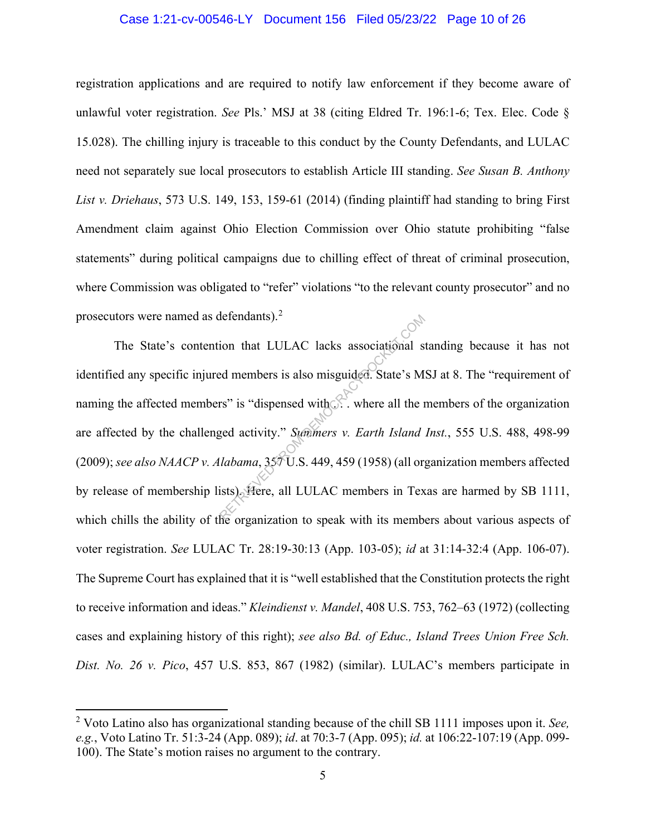#### Case 1:21-cv-00546-LY Document 156 Filed 05/23/22 Page 10 of 26

registration applications and are required to notify law enforcement if they become aware of unlawful voter registration. *See* Pls.' MSJ at 38 (citing Eldred Tr. 196:1-6; Tex. Elec. Code § 15.028). The chilling injury is traceable to this conduct by the County Defendants, and LULAC need not separately sue local prosecutors to establish Article III standing. *See Susan B. Anthony List v. Driehaus*, 573 U.S. 149, 153, 159-61 (2014) (finding plaintiff had standing to bring First Amendment claim against Ohio Election Commission over Ohio statute prohibiting "false statements" during political campaigns due to chilling effect of threat of criminal prosecution, where Commission was obligated to "refer" violations "to the relevant county prosecutor" and no prosecutors were named as defendants). $2$ 

The State's contention that LULAC lacks associational standing because it has not identified any specific injured members is also misguided. State's MSJ at 8. The "requirement of naming the affected members" is "dispensed with  $\mathbb{R}$ . where all the members of the organization are affected by the challenged activity." *Summers v. Earth Island Inst.*, 555 U.S. 488, 498-99 (2009); *see also NAACP v. Alabama*, 357 U.S. 449, 459 (1958) (all organization members affected by release of membership lists). Here, all LULAC members in Texas are harmed by SB 1111, which chills the ability of the organization to speak with its members about various aspects of voter registration. *See* LULAC Tr. 28:19-30:13 (App. 103-05); *id* at 31:14-32:4 (App. 106-07). The Supreme Court has explained that it is "well established that the Constitution protects the right to receive information and ideas." *Kleindienst v. Mandel*, 408 U.S. 753, 762–63 (1972) (collecting cases and explaining history of this right); *see also Bd. of Educ., Island Trees Union Free Sch. Dist. No. 26 v. Pico*, 457 U.S. 853, 867 (1982) (similar). LULAC's members participate in detendants).<sup>2</sup><br>
ion that LULAC lacks associational s<br>
ed members is also misguided. State's M<br>
rs" is "dispensed with.... where all the 1<br>
yed activity." Summers v. Earth Island<br>
labama, 357 U.S. 449, 459 (1958) (all or i

<sup>2</sup> Voto Latino also has organizational standing because of the chill SB 1111 imposes upon it. *See, e.g.*, Voto Latino Tr. 51:3-24 (App. 089); *id*. at 70:3-7 (App. 095); *id.* at 106:22-107:19 (App. 099- 100). The State's motion raises no argument to the contrary.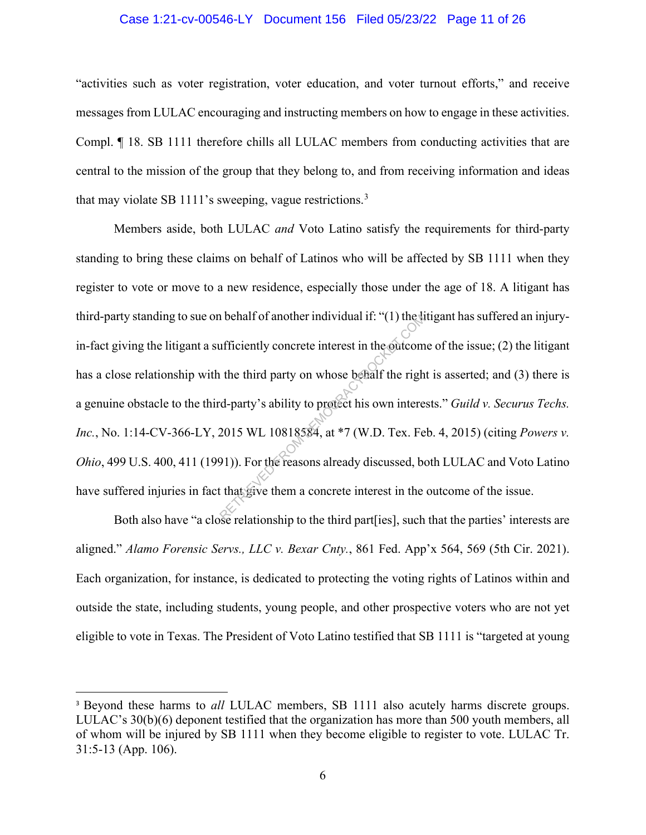#### Case 1:21-cv-00546-LY Document 156 Filed 05/23/22 Page 11 of 26

"activities such as voter registration, voter education, and voter turnout efforts," and receive messages from LULAC encouraging and instructing members on how to engage in these activities. Compl. ¶ 18. SB 1111 therefore chills all LULAC members from conducting activities that are central to the mission of the group that they belong to, and from receiving information and ideas that may violate SB 1111's sweeping, vague restrictions.<sup>3</sup>

Members aside, both LULAC *and* Voto Latino satisfy the requirements for third-party standing to bring these claims on behalf of Latinos who will be affected by SB 1111 when they register to vote or move to a new residence, especially those under the age of 18. A litigant has third-party standing to sue on behalf of another individual if: "(1) the litigant has suffered an injuryin-fact giving the litigant a sufficiently concrete interest in the outcome of the issue; (2) the litigant has a close relationship with the third party on whose behalf the right is asserted; and (3) there is a genuine obstacle to the third-party's ability to protect his own interests." *Guild v. Securus Techs. Inc.*, No. 1:14-CV-366-LY, 2015 WL 10818584, at \*7 (W.D. Tex. Feb. 4, 2015) (citing *Powers v. Ohio*, 499 U.S. 400, 411 (1991)). For the reasons already discussed, both LULAC and Voto Latino have suffered injuries in fact that give them a concrete interest in the outcome of the issue. Reported the third party on whose behalf the right<br>d-party's ability to protect his own interest in the outcom<br>d-party's ability to protect his own interest<br>2015 WL 10818584, at \*7 (W.D. Tex. Fe<br>91)). For the reasons alre

Both also have "a close relationship to the third part[ies], such that the parties' interests are aligned." *Alamo Forensic Servs., LLC v. Bexar Cnty.*, 861 Fed. App'x 564, 569 (5th Cir. 2021). Each organization, for instance, is dedicated to protecting the voting rights of Latinos within and outside the state, including students, young people, and other prospective voters who are not yet eligible to vote in Texas. The President of Voto Latino testified that SB 1111 is "targeted at young

<sup>&</sup>lt;sup>3</sup> Beyond these harms to *all* LULAC members, SB 1111 also acutely harms discrete groups. LULAC's 30(b)(6) deponent testified that the organization has more than 500 youth members, all of whom will be injured by SB 1111 when they become eligible to register to vote. LULAC Tr. 31:5-13 (App. 106).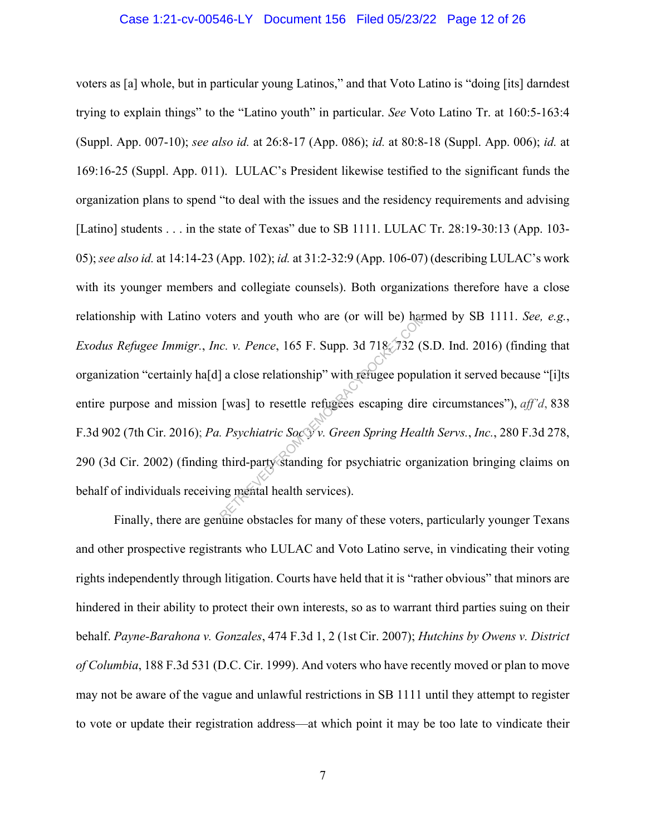#### Case 1:21-cv-00546-LY Document 156 Filed 05/23/22 Page 12 of 26

voters as [a] whole, but in particular young Latinos," and that Voto Latino is "doing [its] darndest trying to explain things" to the "Latino youth" in particular. *See* Voto Latino Tr. at 160:5-163:4 (Suppl. App. 007-10); *see also id.* at 26:8-17 (App. 086); *id.* at 80:8-18 (Suppl. App. 006); *id.* at 169:16-25 (Suppl. App. 011). LULAC's President likewise testified to the significant funds the organization plans to spend "to deal with the issues and the residency requirements and advising [Latino] students . . . in the state of Texas" due to SB 1111. LULAC Tr. 28:19-30:13 (App. 103-05); *see also id.* at 14:14-23 (App. 102); *id.* at 31:2-32:9 (App. 106-07) (describing LULAC's work with its younger members and collegiate counsels). Both organizations therefore have a close relationship with Latino voters and youth who are (or will be) harmed by SB 1111. *See, e.g.*, *Exodus Refugee Immigr.*, *Inc. v. Pence*, 165 F. Supp. 3d 718, 732 (S.D. Ind. 2016) (finding that organization "certainly ha[d] a close relationship" with refugee population it served because "[i]ts entire purpose and mission [was] to resettle refugees escaping dire circumstances"), *aff'd*, 838 F.3d 902 (7th Cir. 2016); *Pa. Psychiatric Soc'y v. Green Spring Health Servs.*, *Inc.*, 280 F.3d 278, 290 (3d Cir. 2002) (finding third-party standing for psychiatric organization bringing claims on behalf of individuals receiving mental health services). Example 18 and youth who are (or will be) harmond the comparable control.<br>
C. v. Pence, 165 F. Supp. 3d 718, 732 (S)<br>
a close relationship" with refugee popul<br>
[was] to resettle refugees escaping dire<br>
Proposition of the c

Finally, there are genuine obstacles for many of these voters, particularly younger Texans and other prospective registrants who LULAC and Voto Latino serve, in vindicating their voting rights independently through litigation. Courts have held that it is "rather obvious" that minors are hindered in their ability to protect their own interests, so as to warrant third parties suing on their behalf. *Payne-Barahona v. Gonzales*, 474 F.3d 1, 2 (1st Cir. 2007); *Hutchins by Owens v. District of Columbia*, 188 F.3d 531 (D.C. Cir. 1999). And voters who have recently moved or plan to move may not be aware of the vague and unlawful restrictions in SB 1111 until they attempt to register to vote or update their registration address—at which point it may be too late to vindicate their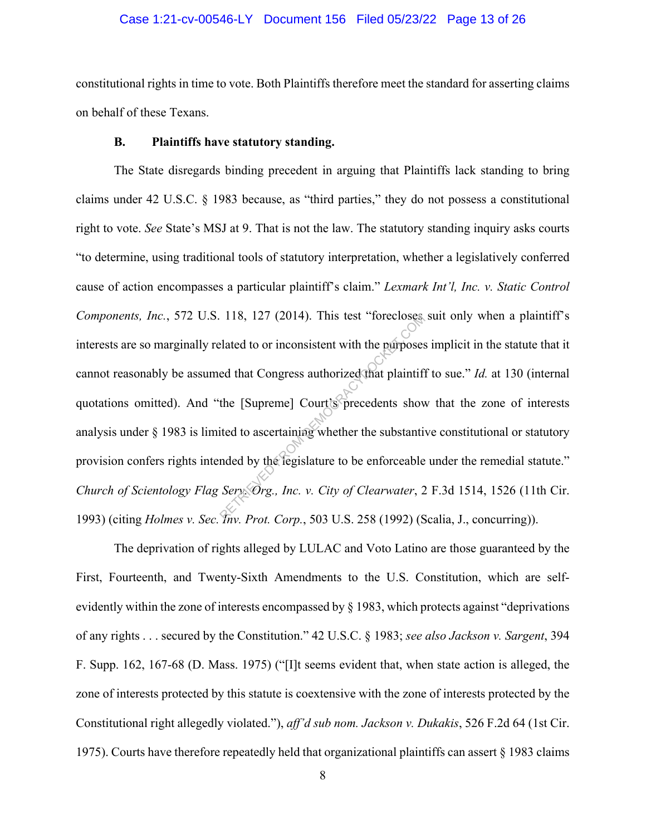#### Case 1:21-cv-00546-LY Document 156 Filed 05/23/22 Page 13 of 26

constitutional rights in time to vote. Both Plaintiffs therefore meet the standard for asserting claims on behalf of these Texans.

#### **B. Plaintiffs have statutory standing.**

The State disregards binding precedent in arguing that Plaintiffs lack standing to bring claims under 42 U.S.C. § 1983 because, as "third parties," they do not possess a constitutional right to vote. *See* State's MSJ at 9. That is not the law. The statutory standing inquiry asks courts "to determine, using traditional tools of statutory interpretation, whether a legislatively conferred cause of action encompasses a particular plaintiff's claim." *Lexmark Int'l, Inc. v. Static Control Components, Inc.*, 572 U.S. 118, 127 (2014). This test "forecloses suit only when a plaintiff's interests are so marginally related to or inconsistent with the purposes implicit in the statute that it cannot reasonably be assumed that Congress authorized that plaintiff to sue." *Id.* at 130 (internal quotations omitted). And "the [Supreme] Court's precedents show that the zone of interests analysis under § 1983 is limited to ascertaining whether the substantive constitutional or statutory provision confers rights intended by the legislature to be enforceable under the remedial statute." *Church of Scientology Flag Serv. Org., Inc. v. City of Clearwater*, 2 F.3d 1514, 1526 (11th Cir. 1993) (citing *Holmes v. Sec. Inv. Prot. Corp.*, 503 U.S. 258 (1992) (Scalia, J., concurring)). TRIEVE (2014). This test "forecloses<br>
elated to or inconsistent with the purposes<br>
ed that Congress authorized that plaintifi<br>
the [Supreme] Court's precedents show<br>
ited to ascertaining whether the substantificated by th

The deprivation of rights alleged by LULAC and Voto Latino are those guaranteed by the First, Fourteenth, and Twenty-Sixth Amendments to the U.S. Constitution, which are selfevidently within the zone of interests encompassed by § 1983, which protects against "deprivations of any rights . . . secured by the Constitution." 42 U.S.C. § 1983; *see also Jackson v. Sargent*, 394 F. Supp. 162, 167-68 (D. Mass. 1975) ("[I]t seems evident that, when state action is alleged, the zone of interests protected by this statute is coextensive with the zone of interests protected by the Constitutional right allegedly violated."), *aff'd sub nom. Jackson v. Dukakis*, 526 F.2d 64 (1st Cir. 1975). Courts have therefore repeatedly held that organizational plaintiffs can assert § 1983 claims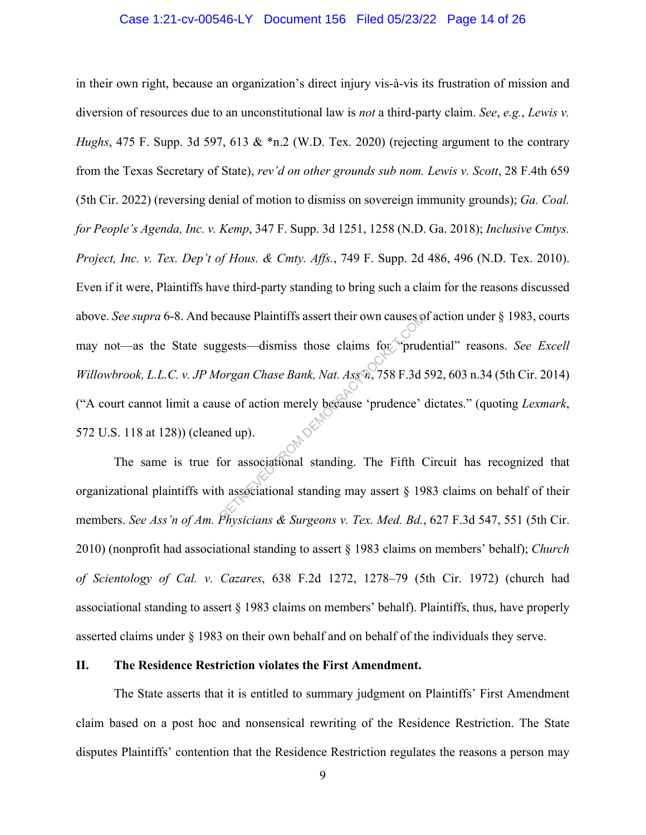#### Case 1:21-cv-00546-LY Document 156 Filed 05/23/22 Page 14 of 26

in their own right, because an organization's direct injury vis-à-vis its frustration of mission and diversion of resources due to an unconstitutional law is *not* a third-party claim. *See*, *e.g.*, *Lewis v. Hughs*, 475 F. Supp. 3d 597, 613 & \*n.2 (W.D. Tex. 2020) (rejecting argument to the contrary from the Texas Secretary of State), *rev'd on other grounds sub nom. Lewis v. Scott*, 28 F.4th 659 (5th Cir. 2022) (reversing denial of motion to dismiss on sovereign immunity grounds); *Ga. Coal. for People's Agenda, Inc. v. Kemp*, 347 F. Supp. 3d 1251, 1258 (N.D. Ga. 2018); *Inclusive Cmtys. Project, Inc. v. Tex. Dep't of Hous. & Cmty. Affs.*, 749 F. Supp. 2d 486, 496 (N.D. Tex. 2010). Even if it were, Plaintiffs have third-party standing to bring such a claim for the reasons discussed above. *See supra* 6-8. And because Plaintiffs assert their own causes of action under § 1983, courts may not—as the State suggests—dismiss those claims for "prudential" reasons. *See Excell Willowbrook, L.L.C. v. JP Morgan Chase Bank, Nat. Ass'n*, 758 F.3d 592, 603 n.34 (5th Cir. 2014) ("A court cannot limit a cause of action merely because 'prudence' dictates." (quoting *Lexmark*, 572 U.S. 118 at 128)) (cleaned up). Executive Plaintiffs assert their own causes to<br>gests—dismiss those claims for "prud<br>forgan Chase Bank, Nat. Ass<sup>on</sup>, 758 F.3d :<br>se of action merely because 'prudence'<br>ed up).<br>for associational standing. The Fifth Chases

The same is true for associational standing. The Fifth Circuit has recognized that organizational plaintiffs with associational standing may assert § 1983 claims on behalf of their members. *See Ass'n of Am. Physicians & Surgeons v. Tex. Med. Bd.*, 627 F.3d 547, 551 (5th Cir. 2010) (nonprofit had associational standing to assert § 1983 claims on members' behalf); *Church of Scientology of Cal. v. Cazares*, 638 F.2d 1272, 1278–79 (5th Cir. 1972) (church had associational standing to assert § 1983 claims on members' behalf). Plaintiffs, thus, have properly asserted claims under § 1983 on their own behalf and on behalf of the individuals they serve.

#### **II. The Residence Restriction violates the First Amendment.**

The State asserts that it is entitled to summary judgment on Plaintiffs' First Amendment claim based on a post hoc and nonsensical rewriting of the Residence Restriction. The State disputes Plaintiffs' contention that the Residence Restriction regulates the reasons a person may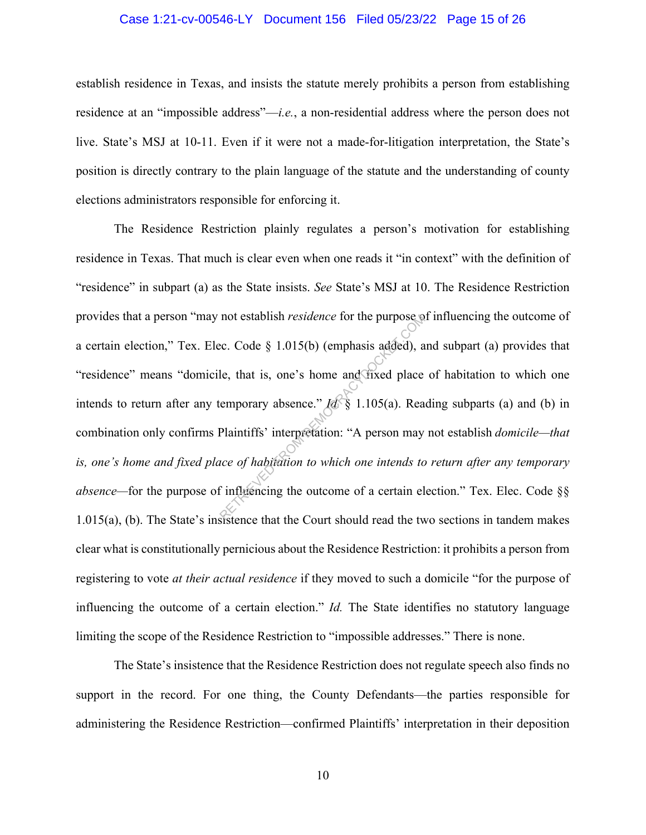#### Case 1:21-cv-00546-LY Document 156 Filed 05/23/22 Page 15 of 26

establish residence in Texas, and insists the statute merely prohibits a person from establishing residence at an "impossible address"—*i.e.*, a non-residential address where the person does not live. State's MSJ at 10-11. Even if it were not a made-for-litigation interpretation, the State's position is directly contrary to the plain language of the statute and the understanding of county elections administrators responsible for enforcing it.

The Residence Restriction plainly regulates a person's motivation for establishing residence in Texas. That much is clear even when one reads it "in context" with the definition of "residence" in subpart (a) as the State insists. *See* State's MSJ at 10. The Residence Restriction provides that a person "may not establish *residence* for the purpose of influencing the outcome of a certain election," Tex. Elec. Code § 1.015(b) (emphasis added), and subpart (a) provides that "residence" means "domicile, that is, one's home and fixed place of habitation to which one intends to return after any temporary absence." *Id.* § 1.105(a). Reading subparts (a) and (b) in combination only confirms Plaintiffs' interpretation: "A person may not establish *domicile—that is, one's home and fixed place of habitation to which one intends to return after any temporary absence—*for the purpose of influencing the outcome of a certain election." Tex. Elec. Code §§ 1.015(a), (b). The State's insistence that the Court should read the two sections in tandem makes clear what is constitutionally pernicious about the Residence Restriction: it prohibits a person from registering to vote *at their actual residence* if they moved to such a domicile "for the purpose of influencing the outcome of a certain election." *Id.* The State identifies no statutory language limiting the scope of the Residence Restriction to "impossible addresses." There is none. not establish *residence* for the purpose  $\circ$ <br>ec. Code  $\circ$  1.015(b) (emphasis added), a<br>le, that is, one's home and fixed place<br>emporary absence."  $\frac{1}{d} \mathcal{S}$  1.105(a). Rea<br>Plaintiffs' interpretation: "A person may<br>

The State's insistence that the Residence Restriction does not regulate speech also finds no support in the record. For one thing, the County Defendants—the parties responsible for administering the Residence Restriction—confirmed Plaintiffs' interpretation in their deposition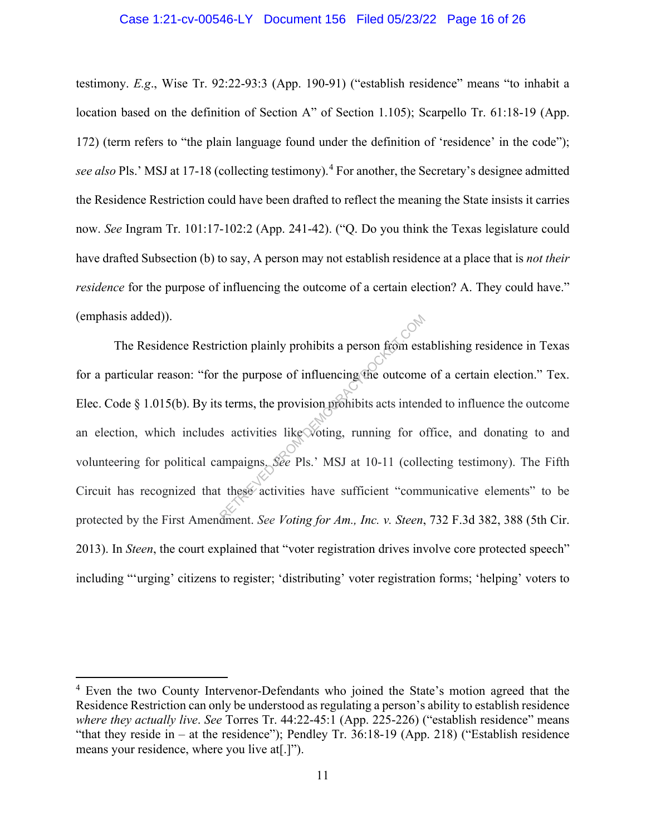testimony. *E.g*., Wise Tr. 92:22-93:3 (App. 190-91) ("establish residence" means "to inhabit a location based on the definition of Section A" of Section 1.105); Scarpello Tr. 61:18-19 (App. 172) (term refers to "the plain language found under the definition of 'residence' in the code"); *see also* Pls.' MSJ at 17-18 (collecting testimony). <sup>4</sup> For another, the Secretary's designee admitted the Residence Restriction could have been drafted to reflect the meaning the State insists it carries now. *See* Ingram Tr. 101:17-102:2 (App. 241-42). ("Q. Do you think the Texas legislature could have drafted Subsection (b) to say, A person may not establish residence at a place that is *not their residence* for the purpose of influencing the outcome of a certain election? A. They could have." (emphasis added)).

The Residence Restriction plainly prohibits a person from establishing residence in Texas for a particular reason: "for the purpose of influencing the outcome of a certain election." Tex. Elec. Code § 1.015(b). By its terms, the provision prohibits acts intended to influence the outcome an election, which includes activities like voting, running for office, and donating to and volunteering for political campaigns. *See* Pls.' MSJ at 10-11 (collecting testimony). The Fifth Circuit has recognized that these activities have sufficient "communicative elements" to be protected by the First Amendment. *See Voting for Am., Inc. v. Steen*, 732 F.3d 382, 388 (5th Cir. 2013). In *Steen*, the court explained that "voter registration drives involve core protected speech" including "'urging' citizens to register; 'distributing' voter registration forms; 'helping' voters to iction plainly prohibits a person from est<br>the purpose of influencing the outcome<br>s terms, the provision prohibits acts intend<br>s activities like voting, running for o<br>ampaigns. See Pls.' MSJ at 10-11 (collect these activit

<sup>&</sup>lt;sup>4</sup> Even the two County Intervenor-Defendants who joined the State's motion agreed that the Residence Restriction can only be understood as regulating a person's ability to establish residence *where they actually live*. *See* Torres Tr. 44:22-45:1 (App. 225-226) ("establish residence" means "that they reside in – at the residence"); Pendley Tr. 36:18-19 (App. 218) ("Establish residence means your residence, where you live at[.]").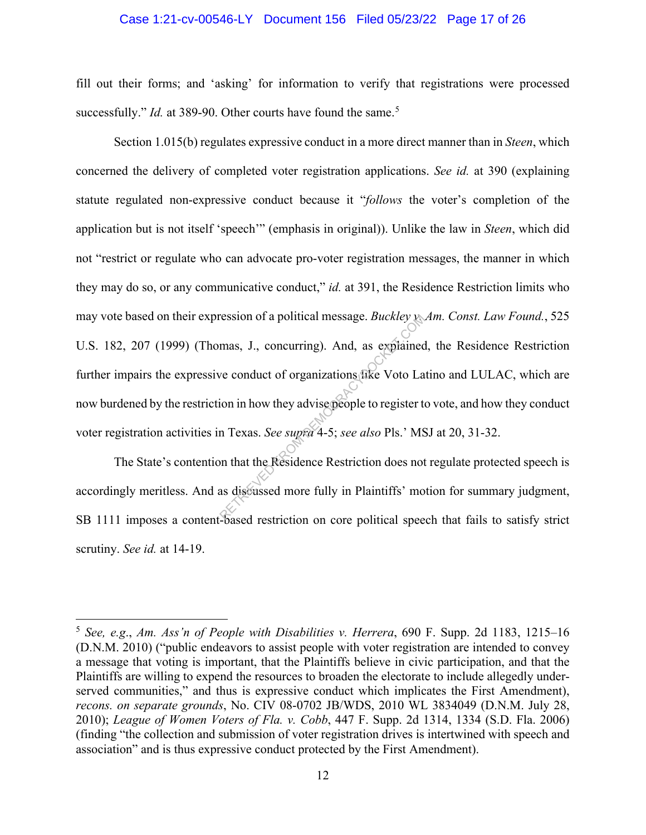#### Case 1:21-cv-00546-LY Document 156 Filed 05/23/22 Page 17 of 26

fill out their forms; and 'asking' for information to verify that registrations were processed successfully." *Id.* at 389-90. Other courts have found the same.<sup>5</sup>

Section 1.015(b) regulates expressive conduct in a more direct manner than in *Steen*, which concerned the delivery of completed voter registration applications. *See id.* at 390 (explaining statute regulated non-expressive conduct because it "*follows* the voter's completion of the application but is not itself 'speech'" (emphasis in original)). Unlike the law in *Steen*, which did not "restrict or regulate who can advocate pro-voter registration messages, the manner in which they may do so, or any communicative conduct," *id.* at 391, the Residence Restriction limits who may vote based on their expression of a political message. *Buckley v. Am. Const. Law Found.*, 525 U.S. 182, 207 (1999) (Thomas, J., concurring). And, as explained, the Residence Restriction further impairs the expressive conduct of organizations like Voto Latino and LULAC, which are now burdened by the restriction in how they advise people to register to vote, and how they conduct voter registration activities in Texas. *See supra* 4-5; *see also* Pls.' MSJ at 20, 31-32. ression of a political message. *Buckley*<br>mas, J., concurring). And, as explained<br>ve conduct of organizations fike Voto La<br>ion in how they advise people to register to<br>n Texas. *See supra* 4-5; *see also* Pls.' MS<br>on that

The State's contention that the Residence Restriction does not regulate protected speech is accordingly meritless. And as discussed more fully in Plaintiffs' motion for summary judgment, SB 1111 imposes a content-based restriction on core political speech that fails to satisfy strict scrutiny. *See id.* at 14-19.

<sup>5</sup> *See, e.g*., *Am. Ass'n of People with Disabilities v. Herrera*, 690 F. Supp. 2d 1183, 1215–16 (D.N.M. 2010) ("public endeavors to assist people with voter registration are intended to convey a message that voting is important, that the Plaintiffs believe in civic participation, and that the Plaintiffs are willing to expend the resources to broaden the electorate to include allegedly underserved communities," and thus is expressive conduct which implicates the First Amendment), *recons. on separate grounds*, No. CIV 08-0702 JB/WDS, 2010 WL 3834049 (D.N.M. July 28, 2010); *League of Women Voters of Fla. v. Cobb*, 447 F. Supp. 2d 1314, 1334 (S.D. Fla. 2006) (finding "the collection and submission of voter registration drives is intertwined with speech and association" and is thus expressive conduct protected by the First Amendment).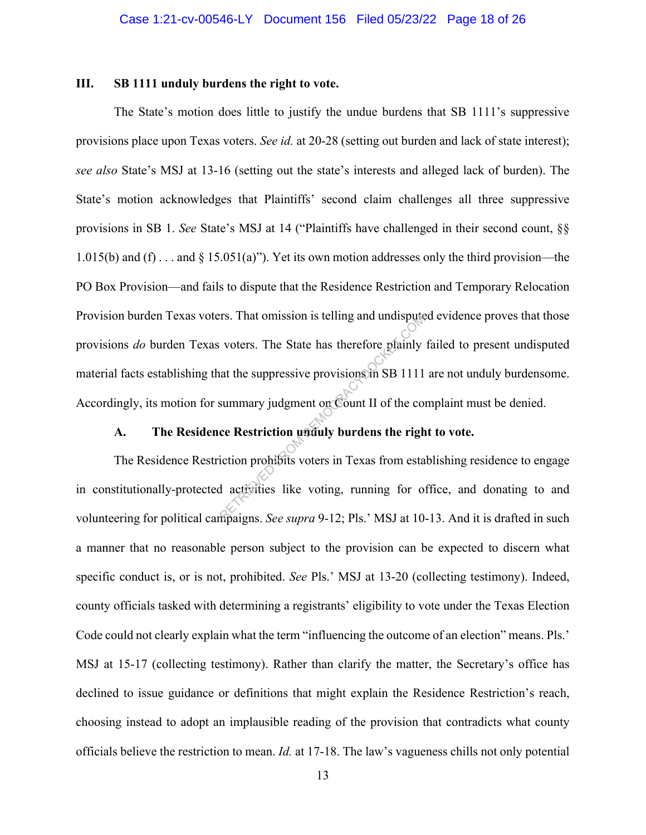#### **III. SB 1111 unduly burdens the right to vote.**

The State's motion does little to justify the undue burdens that SB 1111's suppressive provisions place upon Texas voters. *See id.* at 20-28 (setting out burden and lack of state interest); *see also* State's MSJ at 13-16 (setting out the state's interests and alleged lack of burden). The State's motion acknowledges that Plaintiffs' second claim challenges all three suppressive provisions in SB 1. *See* State's MSJ at 14 ("Plaintiffs have challenged in their second count, §§ 1.015(b) and (f) . . . and  $\S$  15.051(a)"). Yet its own motion addresses only the third provision—the PO Box Provision—and fails to dispute that the Residence Restriction and Temporary Relocation Provision burden Texas voters. That omission is telling and undisputed evidence proves that those provisions *do* burden Texas voters. The State has therefore plainly failed to present undisputed material facts establishing that the suppressive provisions in SB 1111 are not unduly burdensome. Accordingly, its motion for summary judgment on Count II of the complaint must be denied. rs. That omission is telling and undispute<br>voters. The State has therefore plainly<br>at the suppressive provisions in SB 1111<br>summary judgment on Count II of the component of the component<br>composition prohibits voters in Te

### **A. The Residence Restriction unduly burdens the right to vote.**

The Residence Restriction prohibits voters in Texas from establishing residence to engage in constitutionally-protected activities like voting, running for office, and donating to and volunteering for political campaigns. *See supra* 9-12; Pls.' MSJ at 10-13. And it is drafted in such a manner that no reasonable person subject to the provision can be expected to discern what specific conduct is, or is not, prohibited. *See* Pls.' MSJ at 13-20 (collecting testimony). Indeed, county officials tasked with determining a registrants' eligibility to vote under the Texas Election Code could not clearly explain what the term "influencing the outcome of an election" means. Pls.' MSJ at 15-17 (collecting testimony). Rather than clarify the matter, the Secretary's office has declined to issue guidance or definitions that might explain the Residence Restriction's reach, choosing instead to adopt an implausible reading of the provision that contradicts what county officials believe the restriction to mean. *Id.* at 17-18. The law's vagueness chills not only potential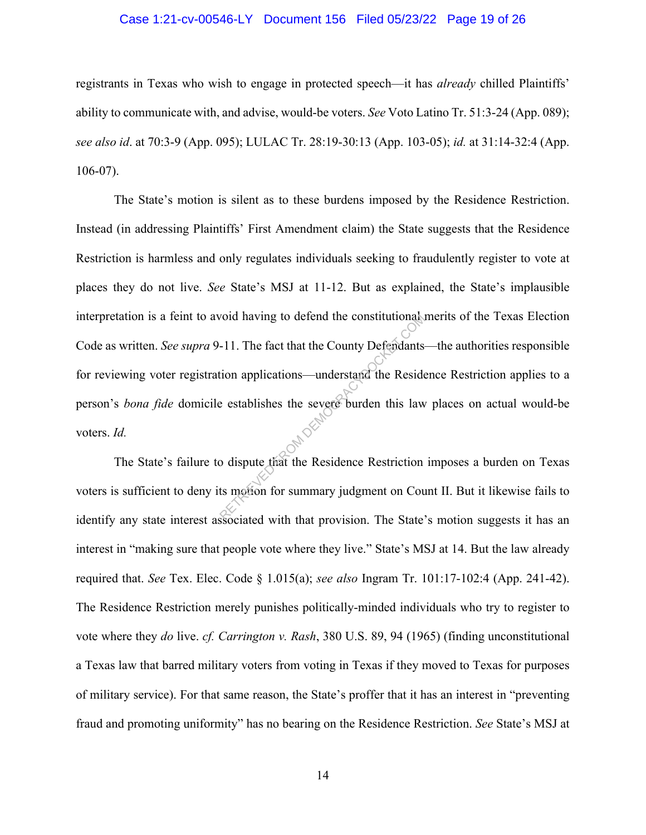#### Case 1:21-cv-00546-LY Document 156 Filed 05/23/22 Page 19 of 26

registrants in Texas who wish to engage in protected speech—it has *already* chilled Plaintiffs' ability to communicate with, and advise, would-be voters. *See* Voto Latino Tr. 51:3-24 (App. 089); *see also id*. at 70:3-9 (App. 095); LULAC Tr. 28:19-30:13 (App. 103-05); *id.* at 31:14-32:4 (App. 106-07).

The State's motion is silent as to these burdens imposed by the Residence Restriction. Instead (in addressing Plaintiffs' First Amendment claim) the State suggests that the Residence Restriction is harmless and only regulates individuals seeking to fraudulently register to vote at places they do not live. *See* State's MSJ at 11-12. But as explained, the State's implausible interpretation is a feint to avoid having to defend the constitutional merits of the Texas Election Code as written. *See supra* 9-11. The fact that the County Defendants—the authorities responsible for reviewing voter registration applications—understand the Residence Restriction applies to a person's *bona fide* domicile establishes the severe burden this law places on actual would-be voters. *Id.* From the constitutional vold having to defend the constitutional voltage.<br>
-11. The fact that the County Defendants<br>
is establishes the severe burden this law<br>
constant the Residence Restriction<br>
ts motion for summary judg

The State's failure to dispute that the Residence Restriction imposes a burden on Texas voters is sufficient to deny its motion for summary judgment on Count II. But it likewise fails to identify any state interest associated with that provision. The State's motion suggests it has an interest in "making sure that people vote where they live." State's MSJ at 14. But the law already required that. *See* Tex. Elec. Code § 1.015(a); *see also* Ingram Tr. 101:17-102:4 (App. 241-42). The Residence Restriction merely punishes politically-minded individuals who try to register to vote where they *do* live. *cf. Carrington v. Rash*, 380 U.S. 89, 94 (1965) (finding unconstitutional a Texas law that barred military voters from voting in Texas if they moved to Texas for purposes of military service). For that same reason, the State's proffer that it has an interest in "preventing fraud and promoting uniformity" has no bearing on the Residence Restriction. *See* State's MSJ at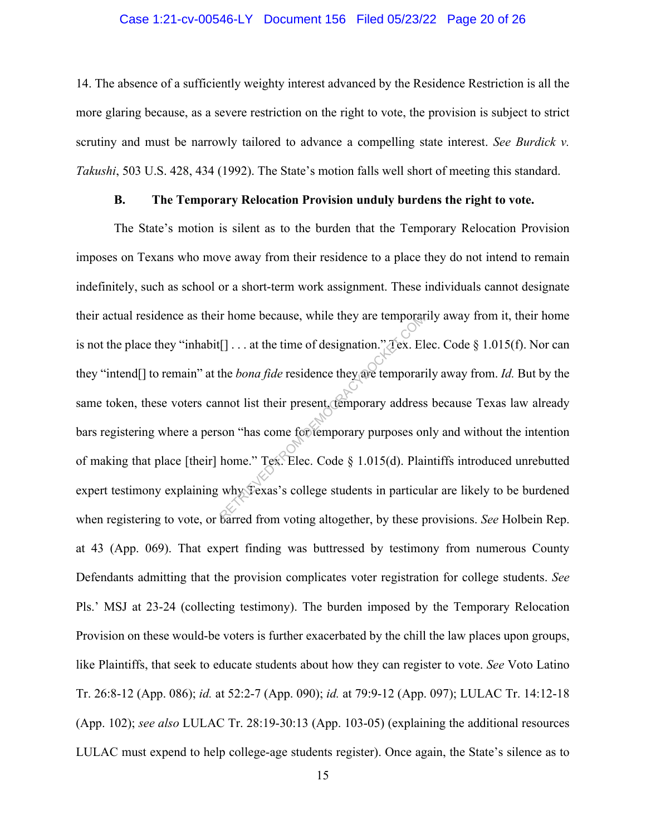#### Case 1:21-cv-00546-LY Document 156 Filed 05/23/22 Page 20 of 26

14. The absence of a sufficiently weighty interest advanced by the Residence Restriction is all the more glaring because, as a severe restriction on the right to vote, the provision is subject to strict scrutiny and must be narrowly tailored to advance a compelling state interest. *See Burdick v. Takushi*, 503 U.S. 428, 434 (1992). The State's motion falls well short of meeting this standard.

#### **B. The Temporary Relocation Provision unduly burdens the right to vote.**

The State's motion is silent as to the burden that the Temporary Relocation Provision imposes on Texans who move away from their residence to a place they do not intend to remain indefinitely, such as school or a short-term work assignment. These individuals cannot designate their actual residence as their home because, while they are temporarily away from it, their home is not the place they "inhabit[] . . . at the time of designation." Tex. Elec. Code § 1.015(f). Nor can they "intend[] to remain" at the *bona fide* residence they are temporarily away from. *Id.* But by the same token, these voters cannot list their present, temporary address because Texas law already bars registering where a person "has come for temporary purposes only and without the intention of making that place [their] home." Tex. Elec. Code § 1.015(d). Plaintiffs introduced unrebutted expert testimony explaining why Texas's college students in particular are likely to be burdened when registering to vote, or barred from voting altogether, by these provisions. *See* Holbein Rep. at 43 (App. 069). That expert finding was buttressed by testimony from numerous County Defendants admitting that the provision complicates voter registration for college students. *See*  Pls.' MSJ at 23-24 (collecting testimony). The burden imposed by the Temporary Relocation Provision on these would-be voters is further exacerbated by the chill the law places upon groups, like Plaintiffs, that seek to educate students about how they can register to vote. *See* Voto Latino Tr. 26:8-12 (App. 086); *id.* at 52:2-7 (App. 090); *id.* at 79:9-12 (App. 097); LULAC Tr. 14:12-18 (App. 102); *see also* LULAC Tr. 28:19-30:13 (App. 103-05) (explaining the additional resources LULAC must expend to help college-age students register). Once again, the State's silence as to r nome because, while they are temporar<br>
[J... at the time of designation." Tex. El<br>
the *bona fide* residence they are temporar<br>
mot list their present (temporary address<br>
son "has come for temporary purposes or<br>
home." T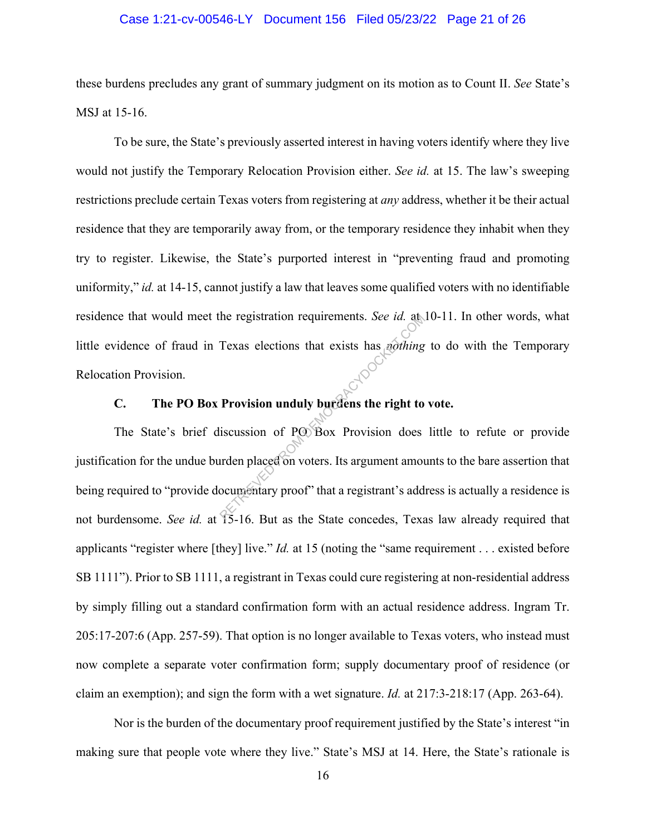#### Case 1:21-cv-00546-LY Document 156 Filed 05/23/22 Page 21 of 26

these burdens precludes any grant of summary judgment on its motion as to Count II. *See* State's MSJ at 15-16.

To be sure, the State's previously asserted interest in having voters identify where they live would not justify the Temporary Relocation Provision either. *See id.* at 15. The law's sweeping restrictions preclude certain Texas voters from registering at *any* address, whether it be their actual residence that they are temporarily away from, or the temporary residence they inhabit when they try to register. Likewise, the State's purported interest in "preventing fraud and promoting uniformity," *id.* at 14-15, cannot justify a law that leaves some qualified voters with no identifiable residence that would meet the registration requirements. *See id.* at 10-11. In other words, what little evidence of fraud in Texas elections that exists has *nothing* to do with the Temporary Relocation Provision.

# **C. The PO Box Provision unduly burdens the right to vote.**

The State's brief discussion of PO Box Provision does little to refute or provide justification for the undue burden placed on voters. Its argument amounts to the bare assertion that being required to "provide documentary proof" that a registrant's address is actually a residence is not burdensome. *See id.* at 15-16. But as the State concedes, Texas law already required that applicants "register where [they] live." *Id.* at 15 (noting the "same requirement . . . existed before SB 1111"). Prior to SB 1111, a registrant in Texas could cure registering at non-residential address by simply filling out a standard confirmation form with an actual residence address. Ingram Tr. 205:17-207:6 (App. 257-59). That option is no longer available to Texas voters, who instead must now complete a separate voter confirmation form; supply documentary proof of residence (or claim an exemption); and sign the form with a wet signature. *Id.* at 217:3-218:17 (App. 263-64). Texas elections that exists has *nothing*<br>Texas elections that exists has *nothing*<br>Provision unduly burdens the right to<br>iscussion of PO Box Provision does<br>urden placed on voters. Its argument amou<br>ocumentary proof" that

Nor is the burden of the documentary proof requirement justified by the State's interest "in making sure that people vote where they live." State's MSJ at 14. Here, the State's rationale is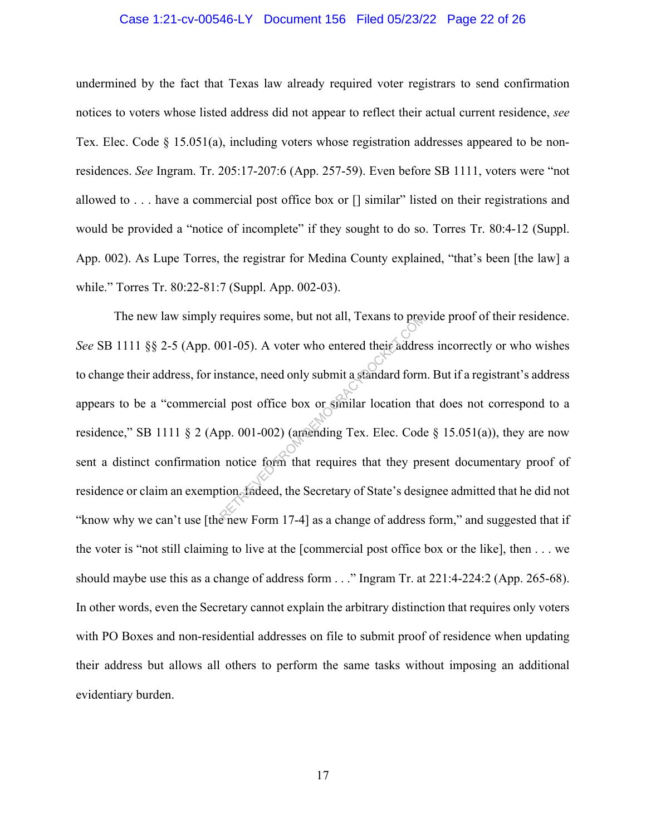#### Case 1:21-cv-00546-LY Document 156 Filed 05/23/22 Page 22 of 26

undermined by the fact that Texas law already required voter registrars to send confirmation notices to voters whose listed address did not appear to reflect their actual current residence, *see* Tex. Elec. Code  $\S$  15.051(a), including voters whose registration addresses appeared to be nonresidences. *See* Ingram. Tr. 205:17-207:6 (App. 257-59). Even before SB 1111, voters were "not allowed to . . . have a commercial post office box or [] similar" listed on their registrations and would be provided a "notice of incomplete" if they sought to do so. Torres Tr. 80:4-12 (Suppl. App. 002). As Lupe Torres, the registrar for Medina County explained, "that's been [the law] a while." Torres Tr. 80:22-81:7 (Suppl. App. 002-03).

 The new law simply requires some, but not all, Texans to provide proof of their residence. *See* SB 1111 §§ 2-5 (App. 001-05). A voter who entered their address incorrectly or who wishes to change their address, for instance, need only submit a standard form. But if a registrant's address appears to be a "commercial post office box or similar location that does not correspond to a residence," SB 1111 § 2 (App. 001-002) (amending Tex. Elec. Code § 15.051(a)), they are now sent a distinct confirmation notice form that requires that they present documentary proof of residence or claim an exemption. Indeed, the Secretary of State's designee admitted that he did not "know why we can't use [the new Form 17-4] as a change of address form," and suggested that if the voter is "not still claiming to live at the [commercial post office box or the like], then . . . we should maybe use this as a change of address form . . ." Ingram Tr. at 221:4-224:2 (App. 265-68). In other words, even the Secretary cannot explain the arbitrary distinction that requires only voters with PO Boxes and non-residential addresses on file to submit proof of residence when updating their address but allows all others to perform the same tasks without imposing an additional evidentiary burden. requires some, but not all, I exans to prevent<br>01-05). A voter who entered their addresses<br>natance, need only submit a standard form<br>al post office box or similar location th<br>pp. 001-002) (amending Tex. Elec. Code<br>notice f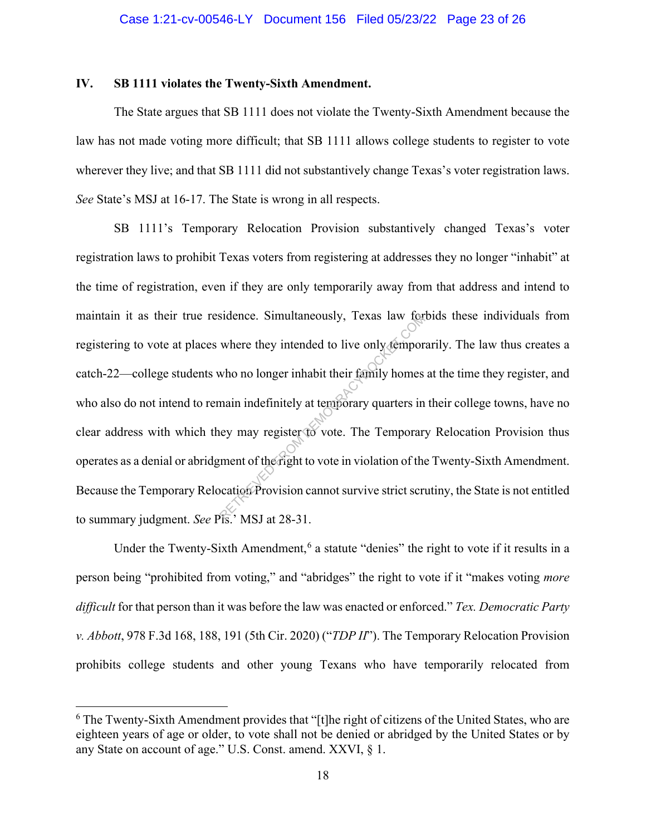#### **IV. SB 1111 violates the Twenty-Sixth Amendment.**

The State argues that SB 1111 does not violate the Twenty-Sixth Amendment because the law has not made voting more difficult; that SB 1111 allows college students to register to vote wherever they live; and that SB 1111 did not substantively change Texas's voter registration laws. *See* State's MSJ at 16-17. The State is wrong in all respects.

SB 1111's Temporary Relocation Provision substantively changed Texas's voter registration laws to prohibit Texas voters from registering at addresses they no longer "inhabit" at the time of registration, even if they are only temporarily away from that address and intend to maintain it as their true residence. Simultaneously, Texas law forbids these individuals from registering to vote at places where they intended to live only temporarily. The law thus creates a catch-22—college students who no longer inhabit their family homes at the time they register, and who also do not intend to remain indefinitely at temporary quarters in their college towns, have no clear address with which they may register to vote. The Temporary Relocation Provision thus operates as a denial or abridgment of the right to vote in violation of the Twenty-Sixth Amendment. Because the Temporary Relocation Provision cannot survive strict scrutiny, the State is not entitled to summary judgment. *See* Pls.' MSJ at 28-31. sidence. Simultaneously, Texas law for<br>where they intended to live only tempor<br>who no longer inhabit their family homes<br>main indefinitely at temporary quarters in<br>ey may register to vote. The Temporar<br>ment of the right to

Under the Twenty-Sixth Amendment,<sup>6</sup> a statute "denies" the right to vote if it results in a person being "prohibited from voting," and "abridges" the right to vote if it "makes voting *more difficult* for that person than it was before the law was enacted or enforced." *Tex. Democratic Party v. Abbott*, 978 F.3d 168, 188, 191 (5th Cir. 2020) ("*TDP II*"). The Temporary Relocation Provision prohibits college students and other young Texans who have temporarily relocated from

<sup>&</sup>lt;sup>6</sup> The Twenty-Sixth Amendment provides that "[t]he right of citizens of the United States, who are eighteen years of age or older, to vote shall not be denied or abridged by the United States or by any State on account of age." U.S. Const. amend. XXVI, § 1.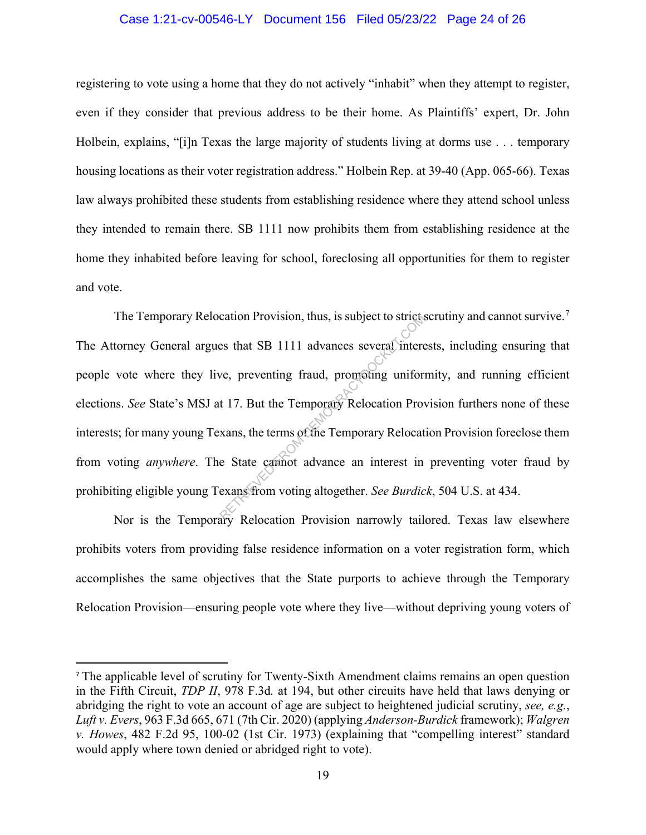#### Case 1:21-cv-00546-LY Document 156 Filed 05/23/22 Page 24 of 26

registering to vote using a home that they do not actively "inhabit" when they attempt to register, even if they consider that previous address to be their home. As Plaintiffs' expert, Dr. John Holbein, explains, "[i]n Texas the large majority of students living at dorms use . . . temporary housing locations as their voter registration address." Holbein Rep. at 39-40 (App. 065-66). Texas law always prohibited these students from establishing residence where they attend school unless they intended to remain there. SB 1111 now prohibits them from establishing residence at the home they inhabited before leaving for school, foreclosing all opportunities for them to register and vote.

The Temporary Relocation Provision, thus, is subject to strict scrutiny and cannot survive.<sup>7</sup> The Attorney General argues that SB 1111 advances several interests, including ensuring that people vote where they live, preventing fraud, promoting uniformity, and running efficient elections. *See* State's MSJ at 17. But the Temporary Relocation Provision furthers none of these interests; for many young Texans, the terms of the Temporary Relocation Provision foreclose them from voting *anywhere*. The State cannot advance an interest in preventing voter fraud by prohibiting eligible young Texans from voting altogether. *See Burdick*, 504 U.S. at 434. Example 12 alwances several interests that SB 1111 advances several interests that SB 1111 advances several interest<br>we, preventing fraud, promoting uniform<br>t 17. But the Temporary Relocation Provision serves were State ca

Nor is the Temporary Relocation Provision narrowly tailored. Texas law elsewhere prohibits voters from providing false residence information on a voter registration form, which accomplishes the same objectives that the State purports to achieve through the Temporary Relocation Provision—ensuring people vote where they live—without depriving young voters of

<sup>7</sup> The applicable level of scrutiny for Twenty-Sixth Amendment claims remains an open question in the Fifth Circuit, *TDP II*, 978 F.3d*.* at 194, but other circuits have held that laws denying or abridging the right to vote an account of age are subject to heightened judicial scrutiny, *see, e.g.*, *Luft v. Evers*, 963 F.3d 665, 671 (7th Cir. 2020) (applying *Anderson-Burdick* framework); *Walgren v. Howes*, 482 F.2d 95, 100-02 (1st Cir. 1973) (explaining that "compelling interest" standard would apply where town denied or abridged right to vote).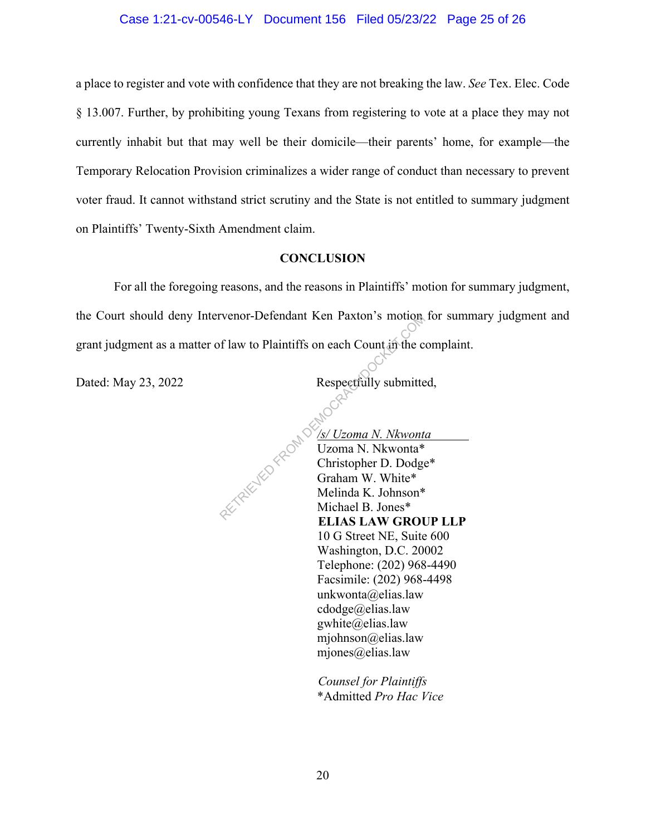#### Case 1:21-cv-00546-LY Document 156 Filed 05/23/22 Page 25 of 26

a place to register and vote with confidence that they are not breaking the law. *See* Tex. Elec. Code § 13.007. Further, by prohibiting young Texans from registering to vote at a place they may not currently inhabit but that may well be their domicile—their parents' home, for example—the Temporary Relocation Provision criminalizes a wider range of conduct than necessary to prevent voter fraud. It cannot withstand strict scrutiny and the State is not entitled to summary judgment on Plaintiffs' Twenty-Sixth Amendment claim.

#### **CONCLUSION**

For all the foregoing reasons, and the reasons in Plaintiffs' motion for summary judgment, the Court should deny Intervenor-Defendant Ken Paxton's motion for summary judgment and grant judgment as a matter of law to Plaintiffs on each Count in the complaint.

Dated: May 23, 2022 Respectfully submitted,

ļ. */s/ Uzoma N. Nkwonta*  Uzoma N. Nkwonta\* Christopher D. Dodge\* Graham W. White\* Melinda K. Johnson\* Michael B. Jones\* **ELIAS LAW GROUP LLP** 10 G Street NE, Suite 600 Washington, D.C. 20002 Telephone: (202) 968-4490 Facsimile: (202) 968-4498 unkwonta@elias.law cdodge@elias.law gwhite@elias.law mjohnson@elias.law mjones@elias.law Respectfully submitte<br>
Respectfully submitte<br>
Respectfully submitte<br>
Respectfully submitte<br>
Respectfully submitte<br>
Respectfully submitte<br>
Company of the Units of the Units of the Melinda K. Johnson\*<br>
Michael B. Jones\*<br>
FLI

> *Counsel for Plaintiffs* \*Admitted *Pro Hac Vice*